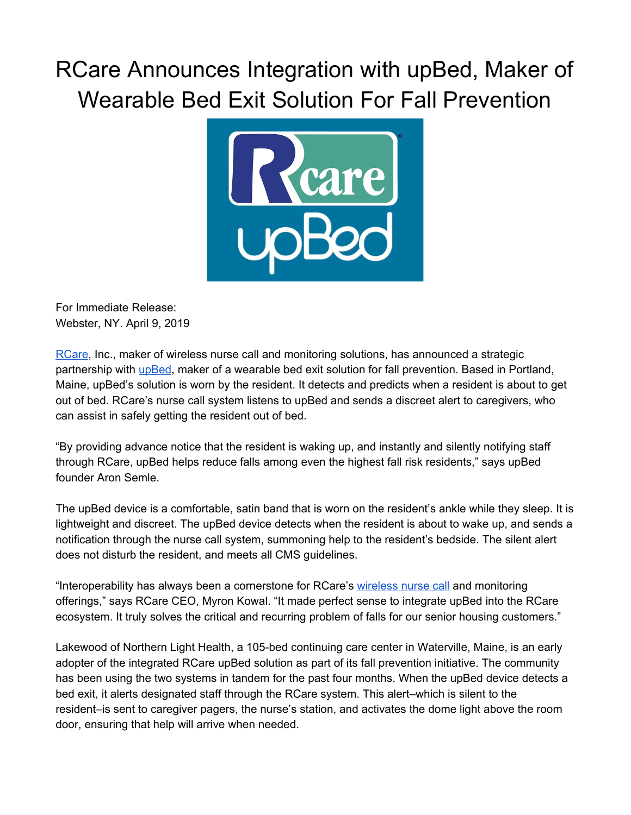## RCare Announces Integration with upBed, Maker of Wearable Bed Exit Solution For Fall Prevention



For Immediate Release: Webster, NY. April 9, 2019

[RCare,](http://rcareinc.com/) Inc., maker of wireless nurse call and monitoring solutions, has announced a strategic partnership with [upBed](http://www.upbed.co/), maker of a wearable bed exit solution for fall prevention. Based in Portland, Maine, upBed's solution is worn by the resident. It detects and predicts when a resident is about to get out of bed. RCare's nurse call system listens to upBed and sends a discreet alert to caregivers, who can assist in safely getting the resident out of bed.

"By providing advance notice that the resident is waking up, and instantly and silently notifying staff through RCare, upBed helps reduce falls among even the highest fall risk residents," says upBed founder Aron Semle.

The upBed device is a comfortable, satin band that is worn on the resident's ankle while they sleep. It is lightweight and discreet. The upBed device detects when the resident is about to wake up, and sends a notification through the nurse call system, summoning help to the resident's bedside. The silent alert does not disturb the resident, and meets all CMS guidelines.

"Interoperability has always been a cornerstone for RCare's [wireless](https://rcareinc.com/) nurse call and monitoring offerings," says RCare CEO, Myron Kowal. "It made perfect sense to integrate upBed into the RCare ecosystem. It truly solves the critical and recurring problem of falls for our senior housing customers."

Lakewood of Northern Light Health, a 105-bed continuing care center in Waterville, Maine, is an early adopter of the integrated RCare upBed solution as part of its fall prevention initiative. The community has been using the two systems in tandem for the past four months. When the upBed device detects a bed exit, it alerts designated staff through the RCare system. This alert–which is silent to the resident–is sent to caregiver pagers, the nurse's station, and activates the dome light above the room door, ensuring that help will arrive when needed.